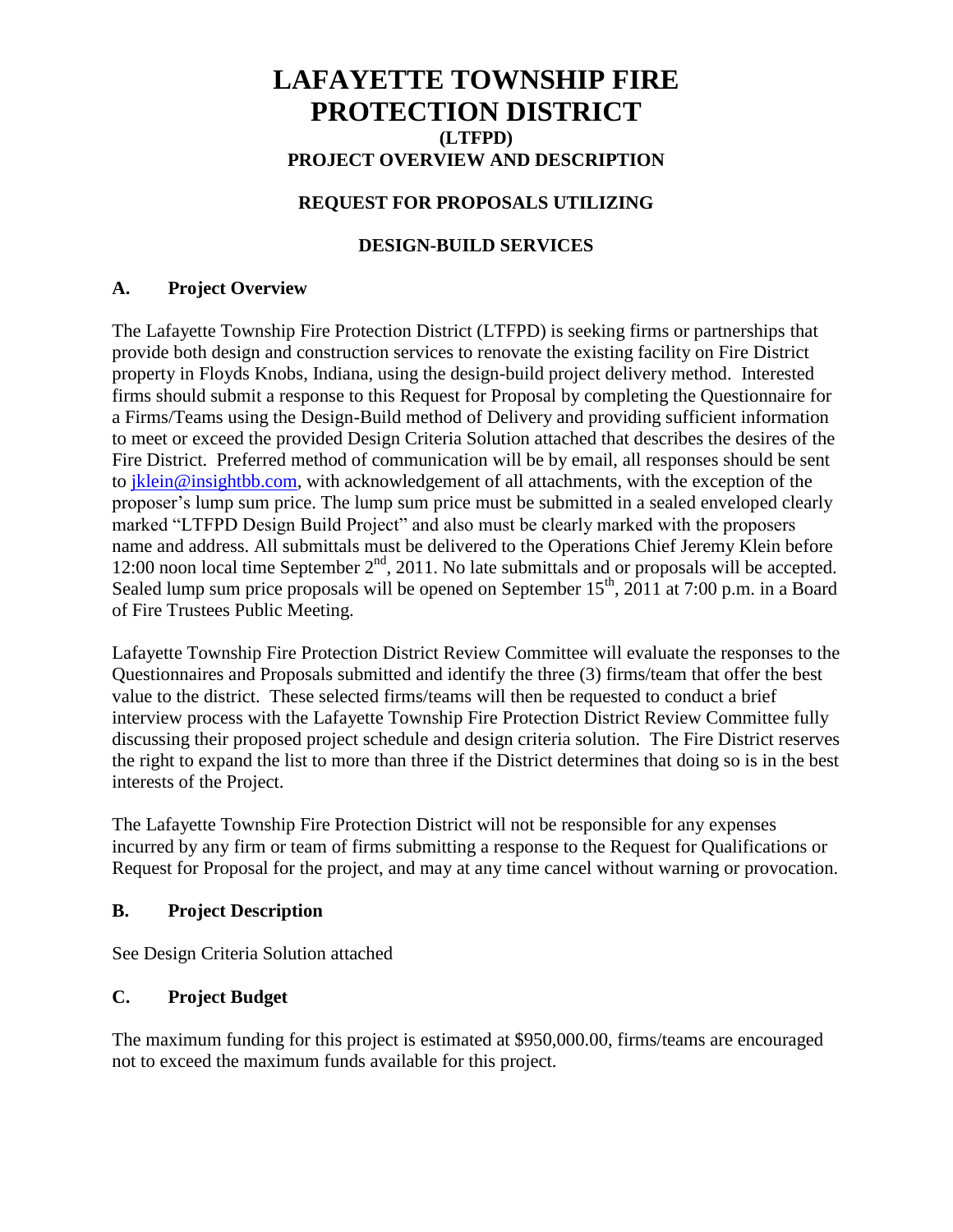# **LAFAYETTE TOWNSHIP FIRE PROTECTION DISTRICT (LTFPD) PROJECT OVERVIEW AND DESCRIPTION**

## **REQUEST FOR PROPOSALS UTILIZING**

## **DESIGN-BUILD SERVICES**

#### **A. Project Overview**

The Lafayette Township Fire Protection District (LTFPD) is seeking firms or partnerships that provide both design and construction services to renovate the existing facility on Fire District property in Floyds Knobs, Indiana, using the design-build project delivery method. Interested firms should submit a response to this Request for Proposal by completing the Questionnaire for a Firms/Teams using the Design-Build method of Delivery and providing sufficient information to meet or exceed the provided Design Criteria Solution attached that describes the desires of the Fire District. Preferred method of communication will be by email, all responses should be sent to [jklein@insightbb.com,](mailto:jklein@insightbb.com) with acknowledgement of all attachments, with the exception of the proposer's lump sum price. The lump sum price must be submitted in a sealed enveloped clearly marked "LTFPD Design Build Project" and also must be clearly marked with the proposers name and address. All submittals must be delivered to the Operations Chief Jeremy Klein before 12:00 noon local time September  $2<sup>nd</sup>$ , 2011. No late submittals and or proposals will be accepted. Sealed lump sum price proposals will be opened on September  $15^{th}$ ,  $2011$  at 7:00 p.m. in a Board of Fire Trustees Public Meeting.

Lafayette Township Fire Protection District Review Committee will evaluate the responses to the Questionnaires and Proposals submitted and identify the three (3) firms/team that offer the best value to the district. These selected firms/teams will then be requested to conduct a brief interview process with the Lafayette Township Fire Protection District Review Committee fully discussing their proposed project schedule and design criteria solution. The Fire District reserves the right to expand the list to more than three if the District determines that doing so is in the best interests of the Project.

The Lafayette Township Fire Protection District will not be responsible for any expenses incurred by any firm or team of firms submitting a response to the Request for Qualifications or Request for Proposal for the project, and may at any time cancel without warning or provocation.

### **B. Project Description**

See Design Criteria Solution attached

### **C. Project Budget**

The maximum funding for this project is estimated at \$950,000.00, firms/teams are encouraged not to exceed the maximum funds available for this project.